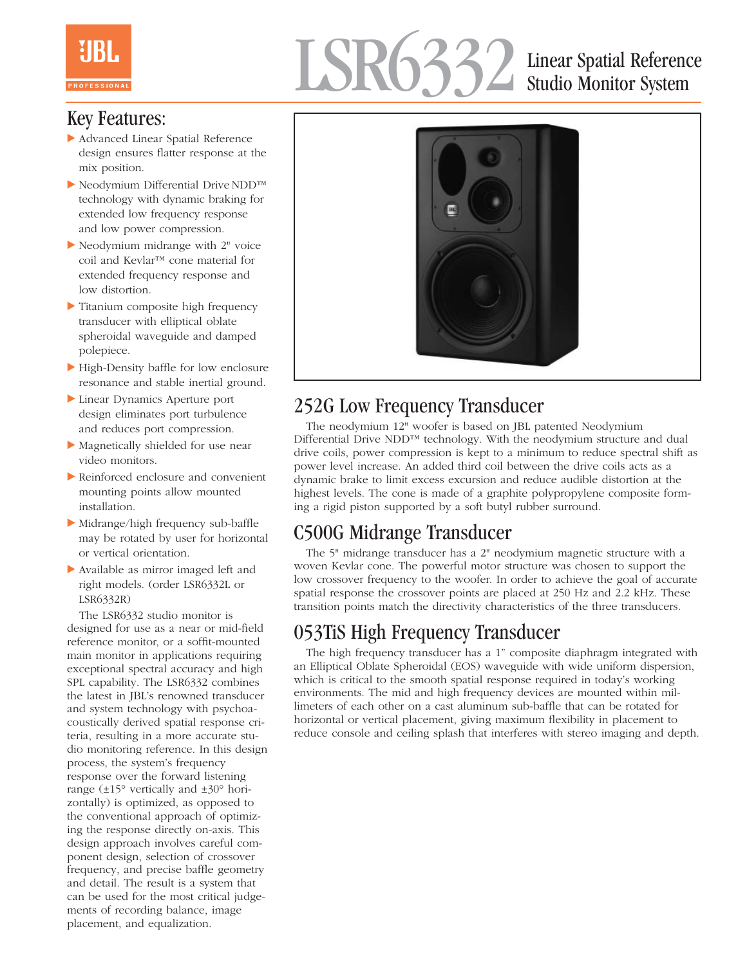# LSR6332 Linear Spatial Reference

## Studio Monitor System

## Key Features:

- Advanced Linear Spatial Reference design ensures flatter response at the mix position.
- Neodymium Differential Drive NDD™ technology with dynamic braking for extended low frequency response and low power compression.
- Neodymium midrange with 2" voice coil and Kevlar™ cone material for extended frequency response and low distortion.
- Titanium composite high frequency transducer with elliptical oblate spheroidal waveguide and damped polepiece.
- High-Density baffle for low enclosure resonance and stable inertial ground.
- Linear Dynamics Aperture port design eliminates port turbulence and reduces port compression.
- Magnetically shielded for use near video monitors.
- Reinforced enclosure and convenient mounting points allow mounted installation.
- Midrange/high frequency sub-baffle may be rotated by user for horizontal or vertical orientation.
- Available as mirror imaged left and right models. (order LSR6332L or LSR6332R)

The LSR6332 studio monitor is designed for use as a near or mid-field reference monitor, or a soffit-mounted main monitor in applications requiring exceptional spectral accuracy and high SPL capability. The LSR6332 combines the latest in JBL's renowned transducer and system technology with psychoacoustically derived spatial response criteria, resulting in a more accurate studio monitoring reference. In this design process, the system's frequency response over the forward listening range  $(\pm 15^{\circ}$  vertically and  $\pm 30^{\circ}$  horizontally) is optimized, as opposed to the conventional approach of optimizing the response directly on-axis. This design approach involves careful component design, selection of crossover frequency, and precise baffle geometry and detail. The result is a system that can be used for the most critical judgements of recording balance, image placement, and equalization.



## 252G Low Frequency Transducer

The neodymium 12" woofer is based on JBL patented Neodymium Differential Drive NDD™ technology. With the neodymium structure and dual drive coils, power compression is kept to a minimum to reduce spectral shift as power level increase. An added third coil between the drive coils acts as a dynamic brake to limit excess excursion and reduce audible distortion at the highest levels. The cone is made of a graphite polypropylene composite forming a rigid piston supported by a soft butyl rubber surround.

## C500G Midrange Transducer

The 5" midrange transducer has a 2" neodymium magnetic structure with a woven Kevlar cone. The powerful motor structure was chosen to support the low crossover frequency to the woofer. In order to achieve the goal of accurate spatial response the crossover points are placed at 250 Hz and 2.2 kHz. These transition points match the directivity characteristics of the three transducers.

## 053TiS High Frequency Transducer

The high frequency transducer has a 1" composite diaphragm integrated with an Elliptical Oblate Spheroidal (EOS) waveguide with wide uniform dispersion, which is critical to the smooth spatial response required in today's working environments. The mid and high frequency devices are mounted within millimeters of each other on a cast aluminum sub-baffle that can be rotated for horizontal or vertical placement, giving maximum flexibility in placement to reduce console and ceiling splash that interferes with stereo imaging and depth.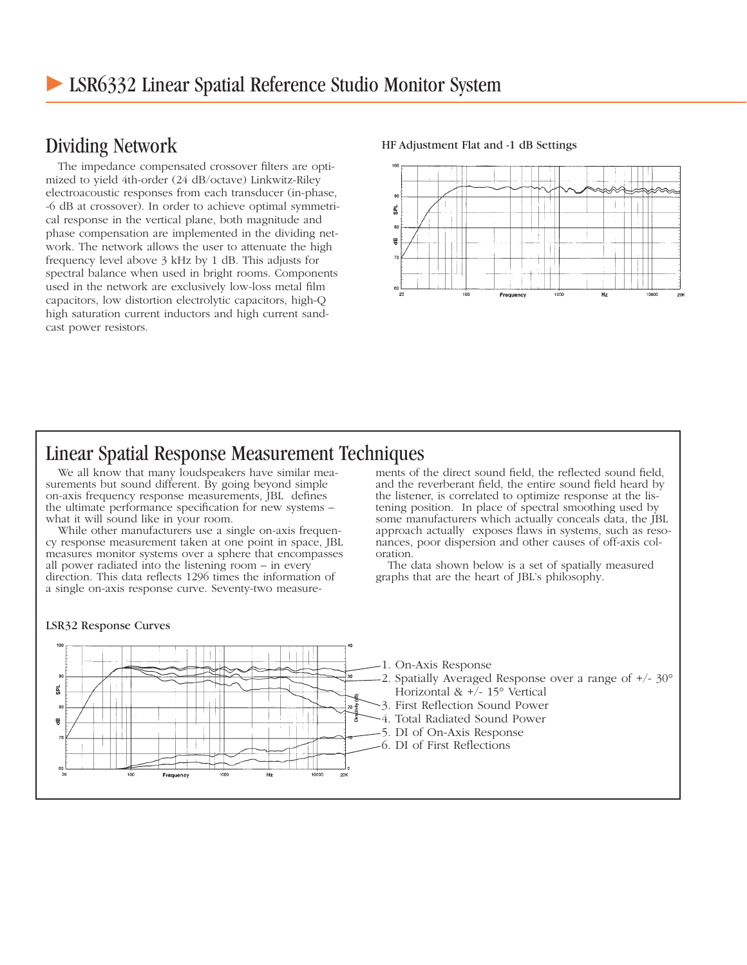## Dividing Network

The impedance compensated crossover filters are optimized to yield 4th-order (24 dB/octave) Linkwitz-Riley electroacoustic responses from each transducer (in-phase, -6 dB at crossover). In order to achieve optimal symmetrical response in the vertical plane, both magnitude and phase compensation are implemented in the dividing network. The network allows the user to attenuate the high frequency level above 3 kHz by 1 dB. This adjusts for spectral balance when used in bright rooms. Components used in the network are exclusively low-loss metal film capacitors, low distortion electrolytic capacitors, high-Q high saturation current inductors and high current sandcast power resistors.

#### HF Adjustment Flat and -1 dB Settings



### Linear Spatial Response Measurement Techniques

We all know that many loudspeakers have similar measurements but sound different. By going beyond simple on-axis frequency response measurements, JBL defines the ultimate performance specification for new systems – what it will sound like in your room.

While other manufacturers use a single on-axis frequency response measurement taken at one point in space, JBL measures monitor systems over a sphere that encompasses all power radiated into the listening room – in every direction. This data reflects 1296 times the information of a single on-axis response curve. Seventy-two measurements of the direct sound field, the reflected sound field, and the reverberant field, the entire sound field heard by the listener, is correlated to optimize response at the listening position. In place of spectral smoothing used by some manufacturers which actually conceals data, the JBL approach actually exposes flaws in systems, such as resonances, poor dispersion and other causes of off-axis coloration.

The data shown below is a set of spatially measured graphs that are the heart of JBL's philosophy.

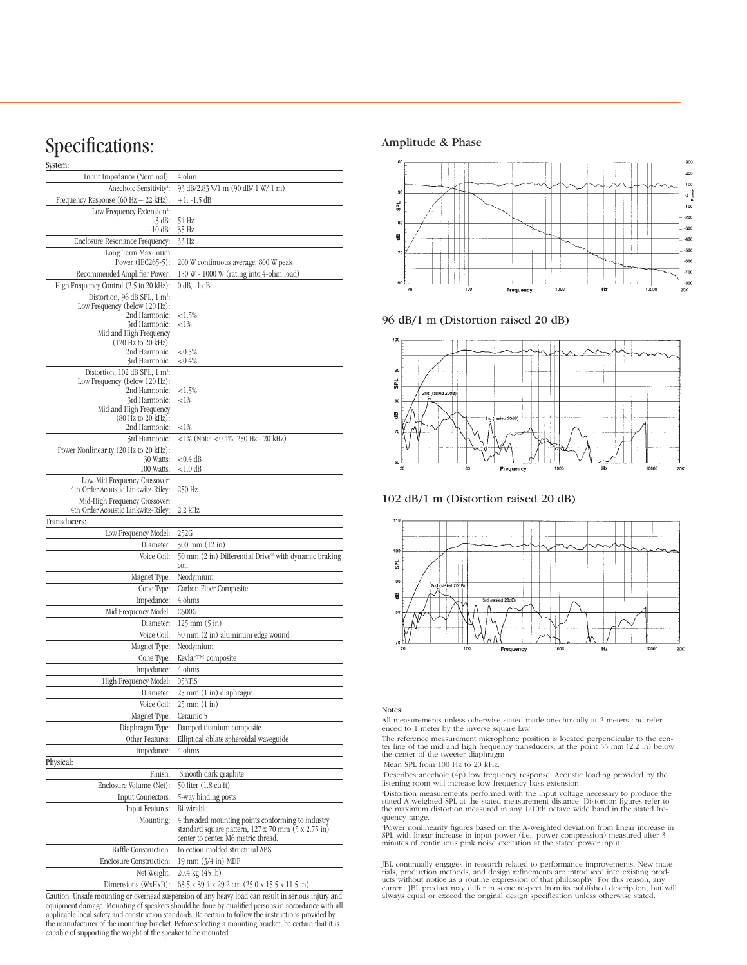## Specifications:

| System:                                                 |                                                                               |
|---------------------------------------------------------|-------------------------------------------------------------------------------|
| Input Impedance (Nominal):                              | 4 ohm                                                                         |
| Anechoic Sensitivity <sup>1</sup> :                     | 93 dB/2.83 V/1 m (90 dB/ 1 W/ 1 m)                                            |
| Frequency Response $(60 Hz - 22 kHz)$ :                 | $+1. -1.5$ dB                                                                 |
| Low Frequency Extension <sup>2</sup> :                  |                                                                               |
| $-3$ dB:<br>$-10$ dB:                                   | 54 Hz<br>35 Hz                                                                |
| Enclosure Resonance Frequency:                          | 33 Hz                                                                         |
| Long Term Maximum                                       |                                                                               |
| Power (IEC265-5):                                       | 200 W continuous average; 800 W peak                                          |
| Recommended Amplifier Power:                            | 150 W - 1000 W (rating into 4-ohm load)                                       |
| High Frequency Control (2.5 to 20 kHz):                 | $0$ dB, $-1$ dB                                                               |
| Distortion, 96 dB SPL, $1 \text{ m}^3$ :                |                                                                               |
| Low Frequency (below 120 Hz):<br>2nd Harmonic:          | ${<}1.5%$                                                                     |
| 3rd Harmonic:                                           | ${<}1\%$                                                                      |
| Mid and High Frequency                                  |                                                                               |
| $(120 \text{ Hz to } 20 \text{ kHz}):$<br>2nd Harmonic: | ${<}0.5%$                                                                     |
| 3rd Harmonic:                                           | ${<}0.4\%$                                                                    |
| Distortion, $102$ dB SPL, $1 \text{ m}^3$ :             |                                                                               |
| Low Frequency (below 120 Hz):                           |                                                                               |
| 2nd Harmonic:<br>3rd Harmonic:                          | ${<}1.5%$<br>${<}1\%$                                                         |
| Mid and High Frequency                                  |                                                                               |
| (80 Hz to 20 kHz):                                      |                                                                               |
| 2nd Harmonic:                                           | ${<}1\%$                                                                      |
| 3rd Harmonic:                                           | $<$ 1% (Note: $<$ 0.4%, 250 Hz - 20 kHz)                                      |
| Power Nonlinearity (20 Hz to 20 kHz):<br>30 Watts:      | $<$ 0.4 dB                                                                    |
| 100 Watts:                                              | $<$ 1.0 dB                                                                    |
| Low-Mid Frequency Crossover:                            |                                                                               |
| 4th Order Acoustic Linkwitz-Riley:                      | 250 Hz                                                                        |
| Mid-High Frequency Crossover:                           |                                                                               |
| 4th Order Acoustic Linkwitz-Riley:                      | 2.2 kHz                                                                       |
| Transducers:                                            | 252G                                                                          |
| Low Frequency Model:<br>Diameter:                       | 300 mm (12 in)                                                                |
| Voice Coil:                                             | 50 mm (2 in) Differential Drive® with dynamic braking                         |
|                                                         | coil                                                                          |
| Magnet Type:                                            | Neodymium                                                                     |
| Cone Type:                                              | Carbon Fiber Composite                                                        |
| Impedance:                                              | 4 ohms                                                                        |
| Mid Frequency Model:                                    | C500G                                                                         |
| Diameter:                                               | $125 \text{ mm} (5 \text{ in})$                                               |
| Voice Coil:                                             | 50 mm (2 in) aluminum edge wound                                              |
| Magnet Type:                                            | Neodymium                                                                     |
| Cone Type:                                              | Kevlar™ composite                                                             |
| Impedance:                                              | 4 ohms                                                                        |
| High Frequency Model:                                   | 053TiS                                                                        |
| Diameter:                                               | 25 mm (1 in) diaphragm                                                        |
| Voice Coil:                                             | $25 \text{ mm} (1 \text{ in})$                                                |
| Magnet Type:                                            | Ceramic 5                                                                     |
| Diaphragm Type:                                         | Damped titanium composite                                                     |
| Other Features:                                         | Elliptical oblate spheroidal waveguide<br>4 ohms                              |
| Impedance:<br>Physical:                                 |                                                                               |
| Finish:                                                 | Smooth dark graphite                                                          |
| Enclosure Volume (Net):                                 | 50 liter (1.8 cu ft)                                                          |
| Input Connectors:                                       | 5-way binding posts                                                           |
| <b>Input Features:</b>                                  | Bi-wirable                                                                    |
| Mounting:                                               | 4 threaded mounting points conforming to industry                             |
|                                                         | standard square pattern, 127 x 70 mm (5 x 2.75 in)                            |
|                                                         | center to center. M6 metric thread.                                           |
| <b>Baffle Construction:</b>                             | Injection molded structural ABS                                               |
| Enclosure Construction:                                 | 19 mm (3/4 in) MDF                                                            |
| Net Weight:                                             | 20.4 kg (45 lb)                                                               |
| Dimensions (WxHxD):                                     | $63.5 \times 39.4 \times 29.2$ cm $(25.0 \times 15.5 \times 11.5 \text{ in})$ |

Caution: Unsafe mounting or overhead suspension of any heavy load can result in serious injury and equipment damage. Mounting of speakers should be done by qualified persons in accordance with all<br>applicable local safety and construction standards. Be certain to follow the instructions provided by<br>the manufacturer of th capable of supporting the weight of the speaker to be mounted.

#### Amplitude & Phase



96 dB/1 m (Distortion raised 20 dB)



102 dB/1 m (Distortion raised 20 dB)



#### Notes:

All measurements unless otherwise stated made anechoically at 2 meters and referenced to 1 meter by the inverse square law.

The reference measurement microphone position is located perpendicular to the cen-<br>ter line of the mid and high frequency transducers, at the point 55 mm (2.2 in) below<br>the center of the tweeter diaphragm

1 Mean SPL from 100 Hz to 20 kHz.

2 Describes anechoic (4p) low frequency response. Acoustic loading provided by the listening room will increase low frequency bass extension.

\*Distortion measurements performed with the input voltage necessary to produce the<br>stated A-weighted SPL at the stated measurement distance. Distortion figures refer to<br>the maximum distortion measured in any 1/10th octave quency range.

4 Power nonlinearity figures based on the A-weighted deviation from linear increase in SPL with linear increase in input power (i.e., power compression) measured after 3 minutes of continuous pink noise excitation at the stated power input.

JBL continually engages in research related to performance improvements. New mate-rials, production methods, and design refinements are introduced into existing products without notice as a routine expression of that philosophy. For this reason, any<br>current JBL product may differ in some respect from its published description, but will<br>always equal or exceed the original design specif